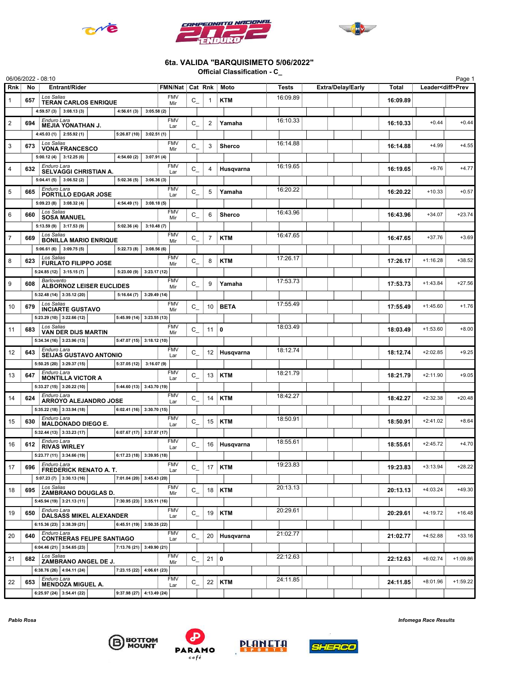





## 6ta. VALIDA "BARQUISIMETO 5/06/2022"

Official Classification - C\_

|                |     | 06/06/2022 - 08:10                                            |                                        |                           |                |                 |               |          |                          |              |                          | Page 1     |
|----------------|-----|---------------------------------------------------------------|----------------------------------------|---------------------------|----------------|-----------------|---------------|----------|--------------------------|--------------|--------------------------|------------|
| <b>Rnk</b>     | No  | <b>Entrant/Rider</b>                                          |                                        | FMN/Nat Cat Rnk           |                |                 | Moto          | Tests    | <b>Extra/Delay/Early</b> | <b>Total</b> | Leader <diff>Prev</diff> |            |
| $\mathbf{1}$   | 657 | Los Salias<br><b>TERAN CARLOS ENRIQUE</b>                     |                                        | <b>FMV</b><br>Mir         | $C_{-}$        | 1               | <b>KTM</b>    | 16:09.89 |                          | 16:09.89     |                          |            |
|                |     | 4:59.57 (3) 3:08.13 (3)                                       | 4:56.61(3)                             | 3:05.58(2)                |                |                 |               |          |                          |              |                          |            |
| $\overline{2}$ | 694 | Enduro Lara                                                   |                                        | <b>FMV</b>                | $C_{-}$        | $\overline{2}$  | Yamaha        | 16:10.33 |                          | 16:10.33     | $+0.44$                  | $+0.44$    |
|                |     | <b>MEJIA YONATHAN J.</b><br>4:45.03 (1) 2:55.92 (1)           | 5:26.87(10)                            | Lar<br>3:02.51(1)         |                |                 |               |          |                          |              |                          |            |
|                |     | Los Salias                                                    |                                        | <b>FMV</b>                |                |                 |               | 16:14.88 |                          |              | $+4.99$                  | $+4.55$    |
| 3              | 673 | <b>VONA FRANCESCO</b>                                         |                                        | Mir                       | $C_{-}$        | 3               | <b>Sherco</b> |          |                          | 16:14.88     |                          |            |
|                |     | $5:00.12(4)$ 3:12.25(6)<br>Enduro Lara                        | 4:54.60(2)                             | 3:07.91(4)<br><b>FMV</b>  |                |                 |               | 16:19.65 |                          |              |                          |            |
| $\overline{4}$ | 632 | SELVAGGI CHRISTIAN A.                                         |                                        | Lar                       | $C_{-}$        | 4               | Husqvarna     |          |                          | 16:19.65     | $+9.76$                  | $+4.77$    |
|                |     | 5:04.41(5)<br>3:06.52(2)                                      | 5:02.36(5)                             | 3:06.36(3)                |                |                 |               |          |                          |              |                          |            |
| 5              | 665 | Enduro Lara<br>PORTILLO EDGAR JOSE                            |                                        | <b>FMV</b><br>Lar         | $C_{-}$        | 5               | Yamaha        | 16:20.22 |                          | 16:20.22     | $+10.33$                 | $+0.57$    |
|                |     | $5:09.23(8)$ 3:08.32(4)                                       | 4:54.49(1)                             | 3:08.18(5)                |                |                 |               |          |                          |              |                          |            |
| 6              | 660 | Los Salias<br><b>SOSA MANUEL</b>                              |                                        | <b>FMV</b><br>Mir         | $C_{-}$        | 6               | <b>Sherco</b> | 16:43.96 |                          | 16:43.96     | $+34.07$                 | $+23.74$   |
|                |     | $5:13.59(9)$ 3:17.53(9)                                       | 5:02.36(4)                             | 3:10.48(7)                |                |                 |               |          |                          |              |                          |            |
| $\overline{7}$ | 669 | Los Salias<br><b>BONILLA MARIO ENRIQUE</b>                    |                                        | <b>FMV</b>                | $C_{-}$        | 7               | <b>KTM</b>    | 16:47.65 |                          | 16:47.65     | $+37.76$                 | $+3.69$    |
|                |     | $5:06.61(6)$ 3:09.75(5)                                       | 5:22.73 (8)                            | Mir<br>3:08.56(6)         |                |                 |               |          |                          |              |                          |            |
| 8              | 623 | Los Salias                                                    |                                        | <b>FMV</b>                | $C_{-}$        | 8               | <b>KTM</b>    | 17:26.17 |                          | 17:26.17     | $+1:16.28$               | $+38.52$   |
|                |     | <b>FURLATO FILIPPO JOSE</b><br>$5:24.85(12)$ 3:15.15(7)       | 5:23.00(9)                             | Mir<br>3:23.17(12)        |                |                 |               |          |                          |              |                          |            |
|                |     | <b>Barlovento</b>                                             |                                        | <b>FMV</b>                |                |                 |               | 17:53.73 |                          |              |                          |            |
| 9              | 608 | <b>ALBORNOZ LEISER EUCLIDES</b>                               |                                        | Mir                       | $C_{-}$        | 9               | Yamaha        |          |                          | 17:53.73     | $+1:43.84$               | $+27.56$   |
|                |     | $5:32.48(14)$ 3:35.12 (20)<br>Los Salias                      | 5:16.64(7)                             | 3:29.49(14)<br><b>FMV</b> |                |                 |               | 17:55.49 |                          |              |                          |            |
| 10             | 679 | <b>INCIARTE GUSTAVO</b>                                       |                                        | Mir                       | $C_{-}$        | 10              | <b>BETA</b>   |          |                          | 17:55.49     | $+1:45.60$               | $+1.76$    |
|                |     | $5:23.29(10)$ 3:22.66(12)                                     | $5:45.99(14)$ 3:23.55(13)              |                           |                |                 |               |          |                          |              |                          |            |
| 11             | 683 | Los Salias<br><b>VAN DER DIJS MARTIN</b>                      |                                        | <b>FMV</b><br>Mir         | $C_{-}$        | 11              | $\mathbf 0$   | 18:03.49 |                          | 18:03.49     | $+1:53.60$               | $+8.00$    |
|                |     | $5:34.34(16)$ 3:23.96(13)                                     | $5:47.07(15)$ 3:18.12(10)              |                           |                |                 |               |          |                          |              |                          |            |
| 12             | 643 | Enduro Lara<br><b>SEIJAS GUSTAVO ANTONIO</b>                  |                                        | <b>FMV</b><br>Lar         | $C_{-}$        | 12 <sup>1</sup> | Husqvarna     | 18:12.74 |                          | 18:12.74     | $+2:02.85$               | $+9.25$    |
|                |     | $5:50.25(20)$ 3:29.37 (15)                                    | 5:37.05(12)                            | 3:16.07(9)                |                |                 |               |          |                          |              |                          |            |
| 13             | 647 | Enduro Lara<br><b>MONTILLA VICTOR A</b>                       |                                        | <b>FMV</b><br>Lar         | $C_{-}$        | 13              | <b>KTM</b>    | 18:21.79 |                          | 18:21.79     | $+2:11.90$               | $+9.05$    |
|                |     | $5:33.27(15)$ 3:20.22(10)                                     | $5:44.60(13)$ 3:43.70(19)              |                           |                |                 |               |          |                          |              |                          |            |
| 14             | 624 | Enduro Lara                                                   |                                        | <b>FMV</b>                | $C_{-}$        | 14              | <b>KTM</b>    | 18:42.27 |                          | 18:42.27     | $+2:32.38$               | $+20.48$   |
|                |     | ARROYO ALEJANDRO JOSE<br>$5:35.22(18)$ 3:33.94 (18)           | $6:02.41(16)$ 3:30.70 (15)             | Lar                       |                |                 |               |          |                          |              |                          |            |
| 15             |     | Enduro Lara                                                   |                                        | <b>FMV</b>                |                |                 | <b>KTM</b>    | 18:50.91 |                          | 18:50.91     | $+2:41.02$               | $+8.64$    |
|                | 630 | <b>MALDONADO DIEGO E.</b>                                     |                                        | Lar                       | $C_{-}$        | 15              |               |          |                          |              |                          |            |
|                |     | $5:32.44(13)$ 3:33.23(17)<br>Enduro Lara                      | $6:07.67(17)$ 3:37.57(17)              | <b>FMV</b>                |                |                 |               | 18:55.61 |                          |              |                          |            |
| 16             | 612 | <b>RIVAS WIRLEY</b>                                           |                                        | Lar                       | $\mathtt{C\_}$ | 16              | Husqvarna     |          |                          | 18:55.61     | $+2:45.72$               | $+4.70$    |
|                |     | 5:23.77(11) 3:34.66(19)                                       | $\boxed{6:17.23(18) \mid 3:39.95(18)}$ |                           |                |                 |               |          |                          |              |                          |            |
| 17             | 696 | Enduro Lara<br><b>FREDERICK RENATO A. T.</b>                  |                                        | <b>FMV</b><br>Lar         | $C_{-}$        |                 | $17$ KTM      | 19:23.83 |                          | 19:23.83     | $+3:13.94$               | $+28.22$   |
|                |     | 5:07.23 (7) 3:30.13 (16)                                      | $7:01.04(20)$ 3:45.43 (20)             |                           |                |                 |               |          |                          |              |                          |            |
| 18             | 695 | Los Salias<br>ZAMBRANO DOUGLAS D.                             |                                        | <b>FMV</b><br>Mir         | $C_{-}$        |                 | $18$ KTM      | 20:13.13 |                          | 20:13.13     | $+4:03.24$               | $+49.30$   |
|                |     | $5:45.94(19)$ 3:21.13(11)                                     | $7:30.95(23)$ 3:35.11 (16)             |                           |                |                 |               |          |                          |              |                          |            |
| 19             | 650 | Enduro Lara<br>DALSASS MIKEL ALEXANDER                        |                                        | <b>FMV</b>                | $C_{-}$        |                 | 19   KTM      | 20:29.61 |                          | 20:29.61     | $+4:19.72$               | $+16.48$   |
|                |     | 6:15.36 (23) 3:38.39 (21)                                     | 6:45.51 (19) 3:50.35 (22)              | Lar                       |                |                 |               |          |                          |              |                          |            |
| 20             | 640 | Enduro Lara                                                   |                                        | <b>FMV</b>                | $C_{-}$        |                 | 20 Husqvarna  | 21:02.77 |                          | 21:02.77     | $+4:52.88$               | $+33.16$   |
|                |     | <b>CONTRERAS FELIPE SANTIAGO</b><br>6:04.46 (21) 3:54.65 (23) | $7:13.76(21)$ 3:49.90 (21)             | Lar                       |                |                 |               |          |                          |              |                          |            |
|                |     | Los Salias                                                    |                                        | <b>FMV</b>                |                |                 |               | 22:12.63 |                          |              |                          |            |
| 21             | 682 | ZAMBRANO ANGEL DE J.                                          |                                        | Mir                       | $C_{-}$        | $21 \mid 0$     |               |          |                          | 22:12.63     | $+6:02.74$               | $+1:09.86$ |
|                |     | 6:38.76 (26) 4:04.11 (24)<br>Enduro Lara                      | $7:23.15(22)$ 4:06.61 (23)             |                           |                |                 |               |          |                          |              |                          |            |
| 22             | 653 | <b>MENDOZA MIGUEL A.</b>                                      |                                        | <b>FMV</b><br>Lar         | $C_{-}$        |                 | $22$ KTM      | 24:11.85 |                          | 24:11.85     | $+8:01.96$               | $+1:59.22$ |
|                |     | 6:25.97 (24) 3:54.41 (22)                                     | $9:37.98(27)$ 4:13.49 (24)             |                           |                |                 |               |          |                          |              |                          |            |







Pablo Rosa Infomega Race Results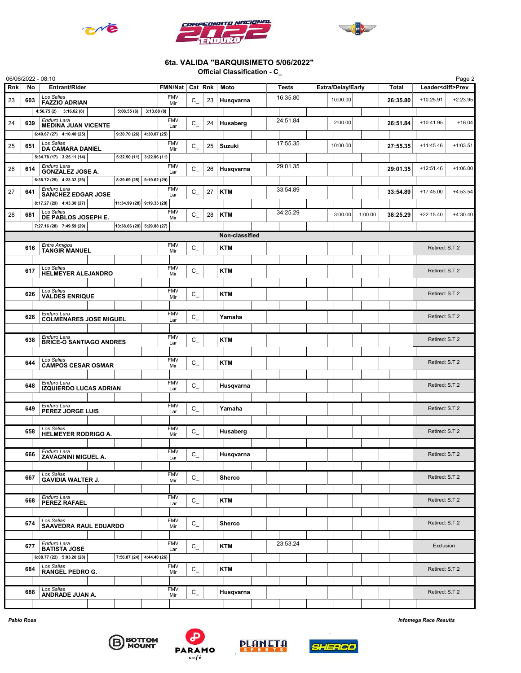





## 6ta. VALIDA "BARQUISIMETO 5/06/2022"

Official Classification - C\_

|     |                                                          | 06/06/2022 - 08:10                                    |                               |                   |                   |                |           |                |          |                          |          |                |                | Page 2                   |
|-----|----------------------------------------------------------|-------------------------------------------------------|-------------------------------|-------------------|-------------------|----------------|-----------|----------------|----------|--------------------------|----------|----------------|----------------|--------------------------|
| Rnk | No                                                       | Entrant/Rider                                         |                               |                   | FMN/Nat           | Cat Rnk $ $    |           | Moto           | Tests    | <b>Extra/Delay/Early</b> |          | <b>Total</b>   |                | Leader <diff>Prev</diff> |
| 23  | 603                                                      | Los Salias<br><b>FAZZIO ADRIAN</b>                    |                               | <b>FMV</b><br>Mir | $\mathtt{C\_}$    | 23             | Husqvarna | 16:35.80       | 10:00.00 |                          | 26:35.80 | +10:25.91      | $+2:23.95$     |                          |
|     |                                                          | $4:56.75(2)$ 3:16.62(8)                               | 5:08.55(6)                    | 3:13.88(8)        |                   |                |           |                |          |                          |          |                |                |                          |
| 24  | 639                                                      | Enduro Lara<br><b>MEDINA JUAN VICENTE</b>             |                               |                   | <b>FMV</b>        | $C_{-}$        | 24        | Husaberg       | 24:51.84 | 2:00.00                  |          | 26:51.84       | $+10:41.95$    | $+16.04$                 |
|     |                                                          | 6:40.67 (27) 4:10.40 (25)                             | $9:30.70(26)$ 4:30.07 (25)    |                   | Lar               |                |           |                |          |                          |          |                |                |                          |
| 25  | 651                                                      | Los Salias                                            |                               |                   | <b>FMV</b>        | $\mathtt{C\_}$ | 25        | <b>Suzuki</b>  | 17:55.35 | 10:00.00                 |          | 27:55.35       | $+11:45.46$    | $+1:03.51$               |
|     |                                                          | <b>DA CAMARA DANIEL</b><br>$5:34.78(17)$ 3:25.11 (14) | $5:32.50(11)$ 3:22.96(11)     |                   | Mir               |                |           |                |          |                          |          |                |                |                          |
|     |                                                          | Enduro Lara                                           |                               |                   | <b>FMV</b>        |                |           |                | 29:01.35 |                          |          |                | $+12:51.46$    | $+1:06.00$               |
| 26  | 614                                                      | <b>GONZALEZ JOSE A.</b>                               |                               |                   | Lar               | $C_{-}$        | 26        | Husqvarna      |          |                          |          | 29:01.35       |                |                          |
|     |                                                          | 6:38.72 (25) 4:23.32 (26)<br>Enduro Lara              | $8:39.69(25)$ 9:19.62(29)     |                   | <b>FMV</b>        |                |           |                | 33:54.89 |                          |          |                |                |                          |
| 27  | 641                                                      | <b>SANCHEZ EDGAR JOSE</b>                             |                               |                   | Lar               | $C_{-}$        | 27        | <b>KTM</b>     |          |                          |          | 33:54.89       | $+17:45.00$    | $+4:53.54$               |
|     |                                                          | $8:17.27(29)$ 4:43.30(27)                             | $ 11:34.99(28) $ 9:19.33 (28) |                   |                   |                |           |                |          |                          |          |                |                |                          |
| 28  | 681                                                      | Los Salias<br>DE PABLOS JOSEPH E.                     |                               |                   | <b>FMV</b><br>Mir | $C_{-}$        | 28        | <b>KTM</b>     | 34:25.29 | 3:00.00                  | 1:00.00  | 38:25.29       | $+22:15.40$    | $+4:30.40$               |
|     | $7:27.16(28)$ 7:49.59 (29)<br>13:38.66 (29) 5:29.88 (27) |                                                       |                               |                   |                   |                |           |                |          |                          |          |                |                |                          |
|     |                                                          |                                                       |                               |                   |                   |                |           | Non-classified |          |                          |          |                |                |                          |
|     | 616                                                      | <b>Entre Amigos</b><br><b>TANGIR MANUEL</b>           |                               |                   | <b>FMV</b><br>Mir | $C_{-}$        |           | <b>KTM</b>     |          |                          |          |                | Retired: S.T.2 |                          |
|     |                                                          |                                                       |                               |                   |                   |                |           |                |          |                          |          |                |                |                          |
|     | 617                                                      | Los Salias<br><b>HELMEYER ALEJANDRO</b>               |                               |                   | <b>FMV</b><br>Mir | $C_{-}$        |           | <b>KTM</b>     |          |                          |          |                | Retired: S.T.2 |                          |
|     |                                                          |                                                       |                               |                   |                   |                |           |                |          |                          |          |                |                |                          |
|     | 626                                                      | Los Salias                                            |                               |                   | <b>FMV</b>        | $C_{-}$        |           | <b>KTM</b>     |          |                          |          |                | Retired: S.T.2 |                          |
|     |                                                          | <b>VALDES ENRIQUE</b>                                 |                               |                   | Mir               |                |           |                |          |                          |          |                |                |                          |
|     | 628                                                      | Enduro Lara                                           |                               |                   | <b>FMV</b>        |                |           | Yamaha         |          |                          |          |                | Retired: S.T.2 |                          |
|     |                                                          | <b>COLMENARES JOSE MIGUEL</b>                         |                               |                   | Lar               | $C_{-}$        |           |                |          |                          |          |                |                |                          |
|     |                                                          | Enduro Lara                                           |                               |                   | <b>FMV</b>        |                |           |                |          |                          |          |                |                |                          |
|     | 638                                                      | <b>BRICE-O SANTIAGO ANDRES</b>                        |                               |                   | Lar               | $C_{-}$        |           | <b>KTM</b>     |          |                          |          |                | Retired: S.T.2 |                          |
|     |                                                          |                                                       |                               |                   |                   |                |           |                |          |                          |          |                |                |                          |
|     | 644                                                      | Los Salias<br><b>CAMPOS CESAR OSMAR</b>               |                               |                   | <b>FMV</b><br>Mir | $C_{-}$        |           | <b>KTM</b>     |          |                          |          |                | Retired: S.T.2 |                          |
|     |                                                          |                                                       |                               |                   |                   |                |           |                |          |                          |          |                |                |                          |
|     | 648                                                      | Enduro Lara<br><b>IZQUIERDO LUCAS ADRIAN</b>          |                               | <b>FMV</b><br>Lar | $C_{-}$           |                | Husqvarna |                |          |                          |          | Retired: S.T.2 |                |                          |
|     |                                                          |                                                       |                               |                   |                   |                |           |                |          |                          |          |                |                |                          |
|     | 649                                                      | Enduro Lara<br>PEREZ JORGE LUIS                       |                               |                   | <b>FMV</b><br>Lar | $C_{-}$        |           | Yamaha         |          |                          |          |                | Retired: S.T.2 |                          |
|     |                                                          |                                                       |                               |                   |                   |                |           |                |          |                          |          |                |                |                          |
|     | 658                                                      | Los Salias                                            |                               |                   | <b>FMV</b>        | $C_{-}$        |           | Husaberg       |          |                          |          |                | Retired: S.T.2 |                          |
|     |                                                          | <b>HELMEYER RODRIGO A.</b>                            |                               |                   | Mir               |                |           |                |          |                          |          |                |                |                          |
|     | 666                                                      | Enduro Lara                                           |                               |                   | <b>FMV</b>        | C              |           |                |          |                          |          |                | Retired: S.T.2 |                          |
|     |                                                          | <b>ZAVAGNINI MIGUEL A.</b>                            |                               |                   | Lar               | $-$            |           | Husqvarna      |          |                          |          |                |                |                          |
|     |                                                          | Los Salias                                            |                               |                   | <b>FMV</b>        |                |           |                |          |                          |          |                |                |                          |
|     | 667                                                      | <b>GAVIDIA WALTER J.</b>                              |                               |                   | Mir               | $C_{-}$        |           | Sherco         |          |                          |          |                | Retired: S.T.2 |                          |
|     |                                                          |                                                       |                               |                   | <b>FMV</b>        |                |           |                |          |                          |          |                |                |                          |
|     | 668                                                      | Enduro Lara<br><b>PEREZ RAFAEL</b>                    |                               |                   | Lar               | $C_{-}$        |           | <b>KTM</b>     |          |                          |          |                | Retired: S.T.2 |                          |
|     |                                                          |                                                       |                               |                   |                   |                |           |                |          |                          |          |                |                |                          |
|     | 674                                                      | Los Salias<br><b>SAAVEDRA RAUL EDUARDO</b>            |                               |                   | <b>FMV</b><br>Mir | $C_{-}$        |           | Sherco         |          |                          |          |                | Retired: S.T.2 |                          |
|     |                                                          |                                                       |                               |                   |                   |                |           |                |          |                          |          |                |                |                          |
|     | 677                                                      | Enduro Lara<br><b>BATISTA JOSE</b>                    |                               |                   | <b>FMV</b><br>Lar | $C_{-}$        |           | KTM            | 23:53.24 |                          |          |                | Exclusion      |                          |
|     |                                                          | 6:08.77 (22) 5:03.20 (28)                             | $7:56.87(24)$ 4:44.40(26)     |                   |                   |                |           |                |          |                          |          |                |                |                          |
|     | 684                                                      | Los Salias                                            |                               |                   | <b>FMV</b>        | $C_{-}$        |           | <b>KTM</b>     |          |                          |          |                | Retired: S.T.2 |                          |
|     |                                                          | <b>RANGEL PEDRO G.</b>                                |                               | Mir               |                   |                |           |                |          |                          |          |                |                |                          |
|     |                                                          | Los Salias                                            |                               |                   | <b>FMV</b>        |                |           |                |          |                          |          |                | Retired: S.T.2 |                          |
|     | 688                                                      | ANDRADE JUAN A.                                       |                               |                   | Mir               | $C_{-}$        |           | Husqvarna      |          |                          |          |                |                |                          |
|     |                                                          |                                                       |                               |                   |                   |                |           |                |          |                          |          |                |                |                          |







**PLANETA** 

Pablo Rosa Infomega Race Results